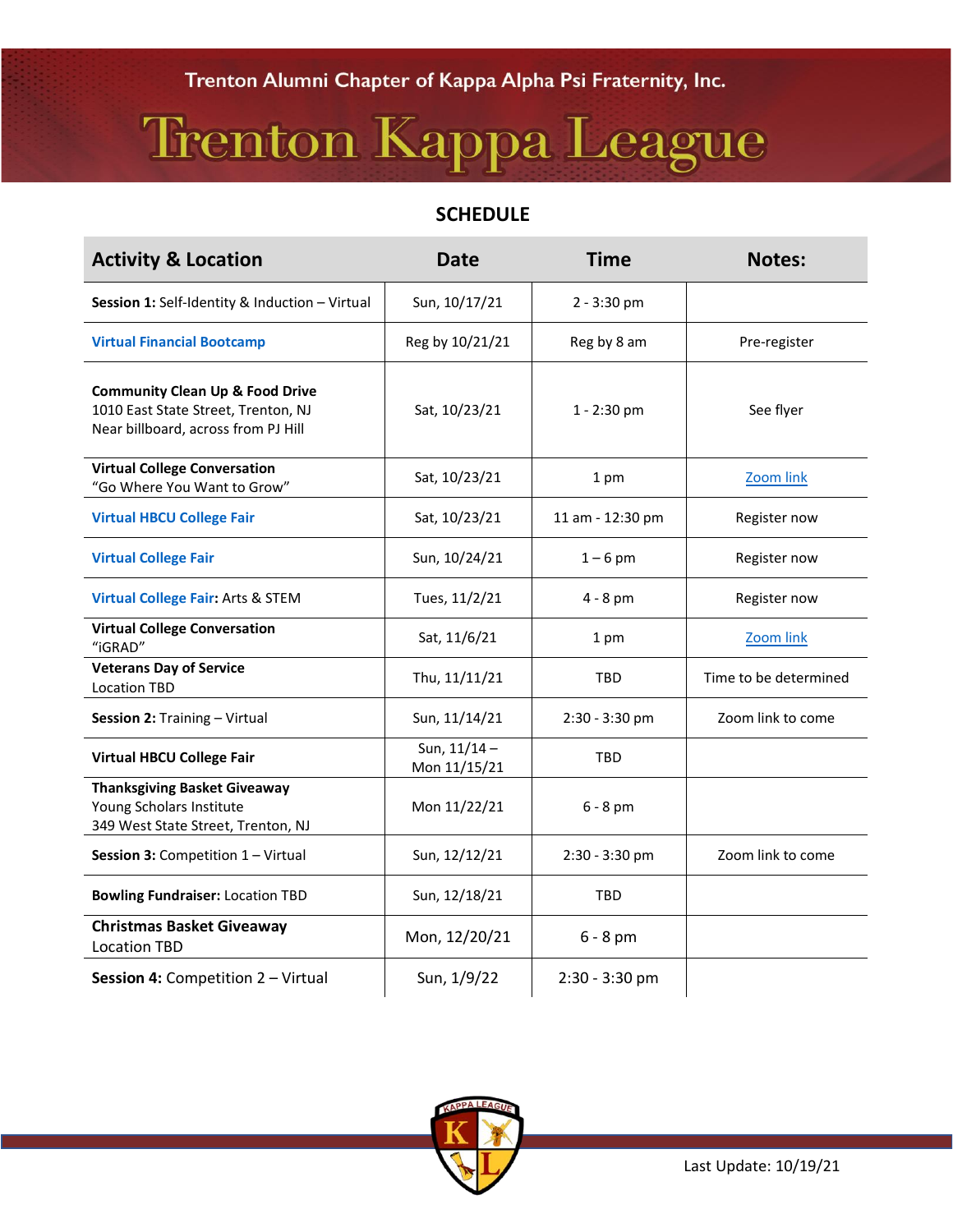## Trenton Kappa League

## **SCHEDULE**

| <b>Activity &amp; Location</b>                                                                                           | <b>Date</b>                    | <b>Time</b>      | <b>Notes:</b>         |
|--------------------------------------------------------------------------------------------------------------------------|--------------------------------|------------------|-----------------------|
| Session 1: Self-Identity & Induction - Virtual                                                                           | Sun, 10/17/21                  | $2 - 3:30$ pm    |                       |
| <b>Virtual Financial Bootcamp</b>                                                                                        | Reg by 10/21/21                | Reg by 8 am      | Pre-register          |
| <b>Community Clean Up &amp; Food Drive</b><br>1010 East State Street, Trenton, NJ<br>Near billboard, across from PJ Hill | Sat, 10/23/21                  | 1 - 2:30 pm      | See flyer             |
| <b>Virtual College Conversation</b><br>"Go Where You Want to Grow"                                                       | Sat, 10/23/21                  | 1 pm             | Zoom link             |
| <b>Virtual HBCU College Fair</b>                                                                                         | Sat, 10/23/21                  | 11 am - 12:30 pm | Register now          |
| <b>Virtual College Fair</b>                                                                                              | Sun, 10/24/21                  | $1-6$ pm         | Register now          |
| <b>Virtual College Fair: Arts &amp; STEM</b>                                                                             | Tues, 11/2/21                  | $4 - 8$ pm       | Register now          |
| <b>Virtual College Conversation</b><br>"iGRAD"                                                                           | Sat, 11/6/21                   | 1 pm             | Zoom link             |
| <b>Veterans Day of Service</b><br><b>Location TBD</b>                                                                    | Thu, 11/11/21                  | TBD              | Time to be determined |
| Session 2: Training - Virtual                                                                                            | Sun, 11/14/21                  | 2:30 - 3:30 pm   | Zoom link to come     |
| <b>Virtual HBCU College Fair</b>                                                                                         | Sun, $11/14 -$<br>Mon 11/15/21 | TBD              |                       |
| <b>Thanksgiving Basket Giveaway</b><br>Young Scholars Institute<br>349 West State Street, Trenton, NJ                    | Mon 11/22/21                   | $6 - 8$ pm       |                       |
| Session 3: Competition 1 - Virtual                                                                                       | Sun, 12/12/21                  | 2:30 - 3:30 pm   | Zoom link to come     |
| <b>Bowling Fundraiser: Location TBD</b>                                                                                  | Sun, 12/18/21                  | <b>TBD</b>       |                       |
| <b>Christmas Basket Giveaway</b><br><b>Location TBD</b>                                                                  | Mon, 12/20/21                  | $6 - 8$ pm       |                       |
| Session 4: Competition 2 - Virtual                                                                                       | Sun, 1/9/22                    | $2:30 - 3:30$ pm |                       |